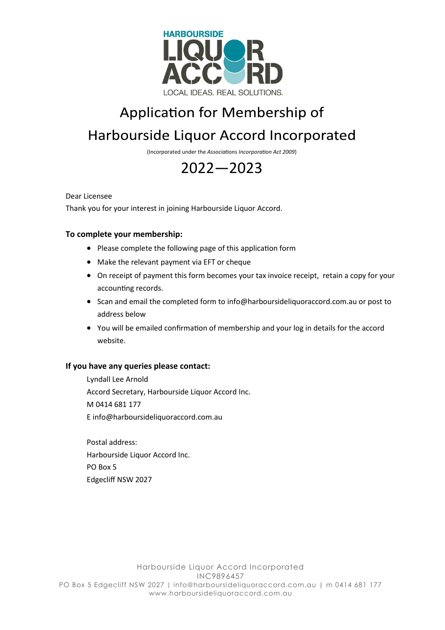

## Application for Membership of Harbourside Liquor Accord Incorporated

(Incorporated under the *[Associations Incorporation Act 2009](http://www.legislation.nsw.gov.au/xref/inforce/?xref=Type%3Dact%20AND%20Year%3D2009%20AND%20no%3D7&nohits=y)*)

## 2022—2023

Dear Licensee

Thank you for your interest in joining Harbourside Liquor Accord.

## **To complete your membership:**

- Please complete the following page of this application form
- Make the relevant payment via EFT or cheque
- On receipt of payment this form becomes your tax invoice receipt, retain a copy for your accounting records.
- Scan and email the completed form to info@harboursideliquoraccord.com.au or post to address below
- You will be emailed confirmation of membership and your log in details for the accord website.

## **If you have any queries please contact:**

Lyndall Lee Arnold Accord Secretary, Harbourside Liquor Accord Inc. M 0414 681 177 E info@harboursideliquoraccord.com.au

Postal address: Harbourside Liquor Accord Inc. PO Box 5 Edgecliff NSW 2027